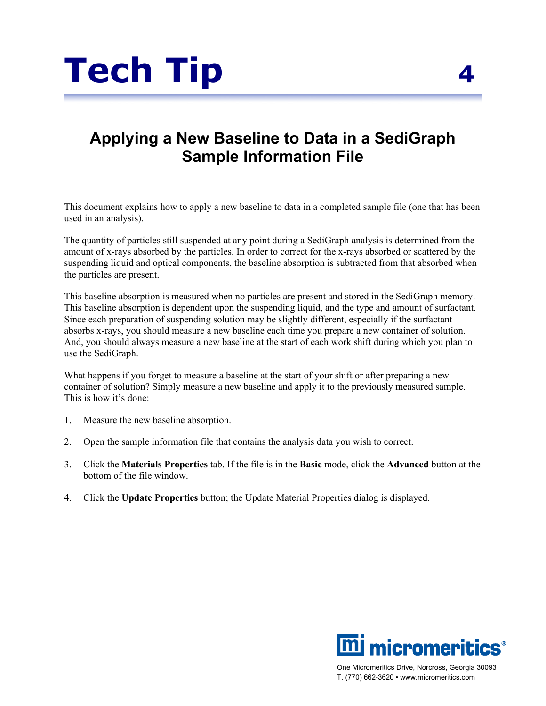

## **Applying a New Baseline to Data in a SediGraph Sample Information File**

This document explains how to apply a new baseline to data in a completed sample file (one that has been used in an analysis).

The quantity of particles still suspended at any point during a SediGraph analysis is determined from the amount of x-rays absorbed by the particles. In order to correct for the x-rays absorbed or scattered by the suspending liquid and optical components, the baseline absorption is subtracted from that absorbed when the particles are present.

This baseline absorption is measured when no particles are present and stored in the SediGraph memory. This baseline absorption is dependent upon the suspending liquid, and the type and amount of surfactant. Since each preparation of suspending solution may be slightly different, especially if the surfactant absorbs x-rays, you should measure a new baseline each time you prepare a new container of solution. And, you should always measure a new baseline at the start of each work shift during which you plan to use the SediGraph.

What happens if you forget to measure a baseline at the start of your shift or after preparing a new container of solution? Simply measure a new baseline and apply it to the previously measured sample. This is how it's done:

- 1. Measure the new baseline absorption.
- 2. Open the sample information file that contains the analysis data you wish to correct.
- 3. Click the **Materials Properties** tab. If the file is in the **Basic** mode, click the **Advanced** button at the bottom of the file window.
- 4. Click the **Update Properties** button; the Update Material Properties dialog is displayed.





One Micromeritics Drive, Norcross, Georgia 30093 T. (770) 662-3620 • www.micromeritics.com